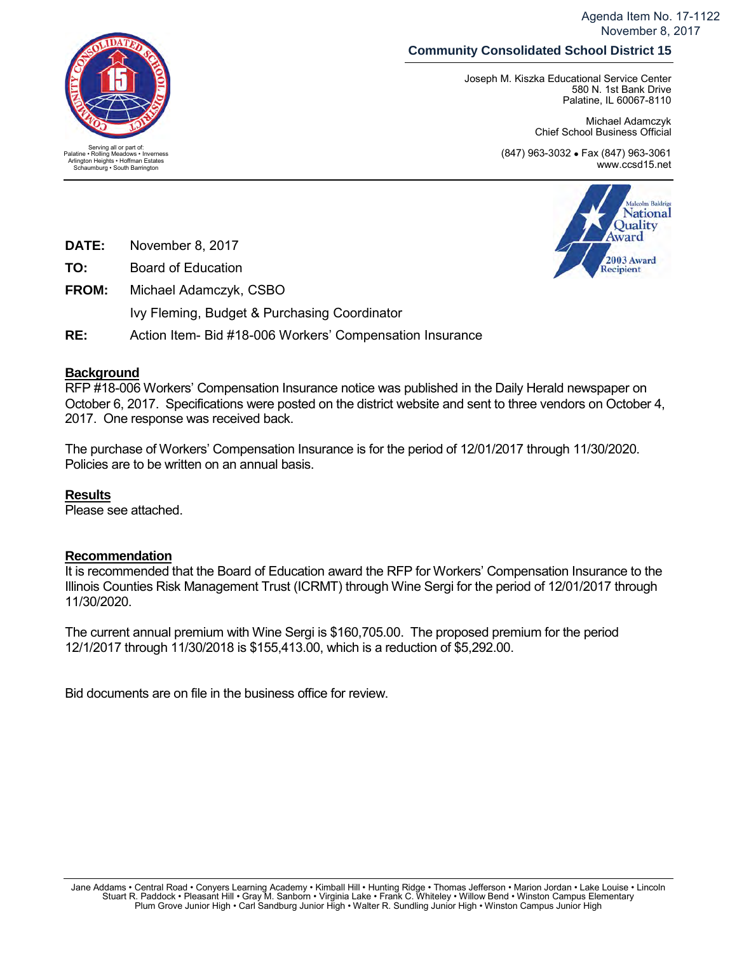Agenda Item No. 17-1122 November 8, 2017

# **Community Consolidated School District 15**

Joseph M. Kiszka Educational Service Center 580 N. 1st Bank Drive Palatine, IL 60067-8110

> Michael Adamczyk Chief School Business Official

(847) 963-3032 • Fax (847) 963-3061 www.ccsd15.net



- **TO:** Board of Education
- **FROM:** Michael Adamczyk, CSBO Ivy Fleming, Budget & Purchasing Coordinator
- **RE:** Action Item- Bid #18-006 Workers' Compensation Insurance

## **Background**

RFP #18-006 Workers' Compensation Insurance notice was published in the Daily Herald newspaper on October 6, 2017. Specifications were posted on the district website and sent to three vendors on October 4, 2017. One response was received back.

The purchase of Workers' Compensation Insurance is for the period of 12/01/2017 through 11/30/2020. Policies are to be written on an annual basis.

#### **Results**

Please see attached.

## **Recommendation**

It is recommended that the Board of Education award the RFP for Workers' Compensation Insurance to the Illinois Counties Risk Management Trust (ICRMT) through Wine Sergi for the period of 12/01/2017 through 11/30/2020.

The current annual premium with Wine Sergi is \$160,705.00. The proposed premium for the period 12/1/2017 through 11/30/2018 is \$155,413.00, which is a reduction of \$5,292.00.

Bid documents are on file in the business office for review.



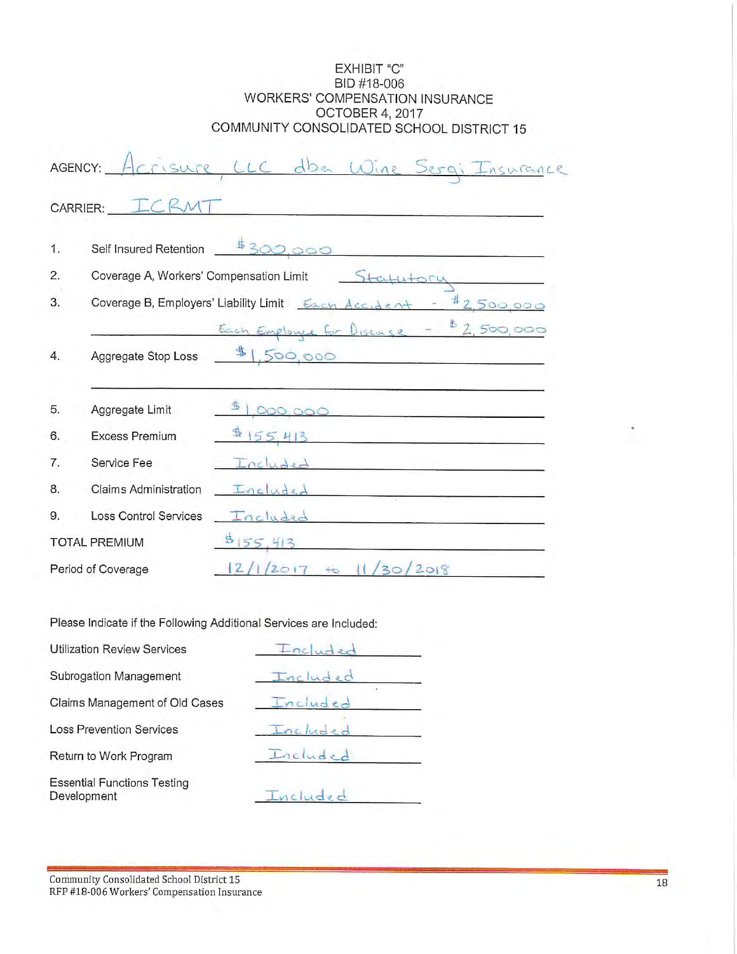#### EXHIBIT "C" BID #18-006 WORKERS' COMPENSATION INSURANCE OCTOBER 4, 2017 COMMUNITY CONSOLIDATED SCHOOL DISTRICT 15

|                      | AGENCY:<br>Herisure                                                 | LLC dba Wine Sergi Insurance                                                                                                           |  |  |  |  |  |  |
|----------------------|---------------------------------------------------------------------|----------------------------------------------------------------------------------------------------------------------------------------|--|--|--|--|--|--|
|                      | CARRIER:                                                            |                                                                                                                                        |  |  |  |  |  |  |
| 1.                   | Self Insured Retention                                              | \$300.000                                                                                                                              |  |  |  |  |  |  |
| 2.                   | Coverage A, Workers' Compensation Limit<br>Statutory                |                                                                                                                                        |  |  |  |  |  |  |
| 3.                   | 12,500,000<br>Coverage B, Employers' Liability Limit Exert Accident |                                                                                                                                        |  |  |  |  |  |  |
|                      |                                                                     | Each Employee for Disease - \$2,500,000                                                                                                |  |  |  |  |  |  |
| 4.                   | Aggregate Stop Loss                                                 | $*1,500,000$<br><u> 1989 - Jan James James Jan James James Jan James James Jan James James Jan James James James James James James</u> |  |  |  |  |  |  |
|                      |                                                                     |                                                                                                                                        |  |  |  |  |  |  |
| 5.                   | Aggregate Limit                                                     | 000,000                                                                                                                                |  |  |  |  |  |  |
| 6.                   | <b>Excess Premium</b>                                               | $\frac{4}{155}$ 413                                                                                                                    |  |  |  |  |  |  |
| 7.                   | Service Fee                                                         | Included                                                                                                                               |  |  |  |  |  |  |
| 8.                   | <b>Claims Administration</b>                                        | Included                                                                                                                               |  |  |  |  |  |  |
| 9.                   | <b>Loss Control Services</b>                                        | Included                                                                                                                               |  |  |  |  |  |  |
| <b>TOTAL PREMIUM</b> |                                                                     | 5155,413                                                                                                                               |  |  |  |  |  |  |
| Period of Coverage   |                                                                     | 11/30/2018<br>2/1/2017<br>$+$ 0                                                                                                        |  |  |  |  |  |  |

Please Indicate if the Following Additional Services are Included:

| <b>Utilization Review Services</b>                | Inclu    |  |  |  |
|---------------------------------------------------|----------|--|--|--|
| Subrogation Management                            | Included |  |  |  |
| Claims Management of Old Cases                    | Included |  |  |  |
| <b>Loss Prevention Services</b>                   | Included |  |  |  |
| Return to Work Program                            | Included |  |  |  |
| <b>Essential Functions Testing</b><br>Development | Included |  |  |  |